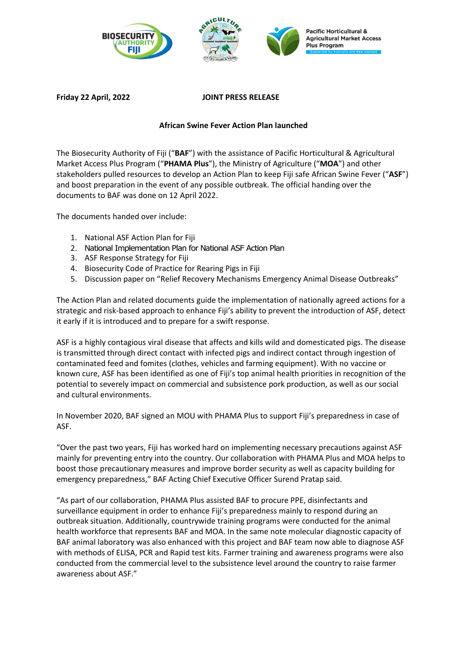



## **Friday 22 April, 2022 JOINT PRESS RELEASE**

## **African Swine Fever Action Plan launched**

The Biosecurity Authority of Fiji ("**BAF**") with the assistance of Pacific Horticultural & Agricultural Market Access Plus Program ("**PHAMA Plus**"), the Ministry of Agriculture ("**MOA**") and other stakeholders pulled resources to develop an Action Plan to keep Fiji safe African Swine Fever ("**ASF**") and boost preparation in the event of any possible outbreak. The official handing over the documents to BAF was done on 12 April 2022.

The documents handed over include:

- 1. National ASF Action Plan for Fiji
- 2. National Implementation Plan for National ASF Action Plan
- 3. ASF Response Strategy for Fiji
- 4. Biosecurity Code of Practice for Rearing Pigs in Fiji
- 5. Discussion paper on "Relief Recovery Mechanisms Emergency Animal Disease Outbreaks"

The Action Plan and related documents guide the implementation of nationally agreed actions for a strategic and risk-based approach to enhance Fiji's ability to prevent the introduction of ASF, detect it early if it is introduced and to prepare for a swift response.

ASF is a highly contagious viral disease that affects and kills wild and domesticated pigs. The disease is transmitted through direct contact with infected pigs and indirect contact through ingestion of contaminated feed and fomites (clothes, vehicles and farming equipment). With no vaccine or known cure, ASF has been identified as one of Fiji's top animal health priorities in recognition of the potential to severely impact on commercial and subsistence pork production, as well as our social and cultural environments.

In November 2020, BAF signed an MOU with PHAMA Plus to support Fiji's preparedness in case of ASF.

"Over the past two years, Fiji has worked hard on implementing necessary precautions against ASF mainly for preventing entry into the country. Our collaboration with PHAMA Plus and MOA helps to boost those precautionary measures and improve border security as well as capacity building for emergency preparedness," BAF Acting Chief Executive Officer Surend Pratap said.

"As part of our collaboration, PHAMA Plus assisted BAF to procure PPE, disinfectants and surveillance equipment in order to enhance Fiji's preparedness mainly to respond during an outbreak situation. Additionally, countrywide training programs were conducted for the animal health workforce that represents BAF and MOA. In the same note molecular diagnostic capacity of BAF animal laboratory was also enhanced with this project and BAF team now able to diagnose ASF with methods of ELISA, PCR and Rapid test kits. Farmer training and awareness programs were also conducted from the commercial level to the subsistence level around the country to raise farmer awareness about ASF."